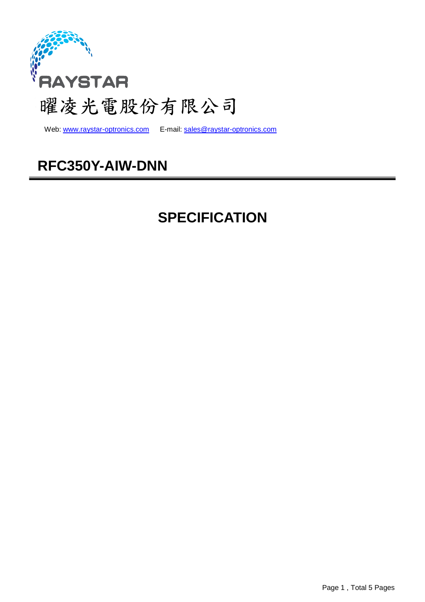

Web: www.raystar-optronics.com E-mail: sales@raystar-optronics.com

# **RFC350Y-AIW-DNN**

# **SPECIFICATION**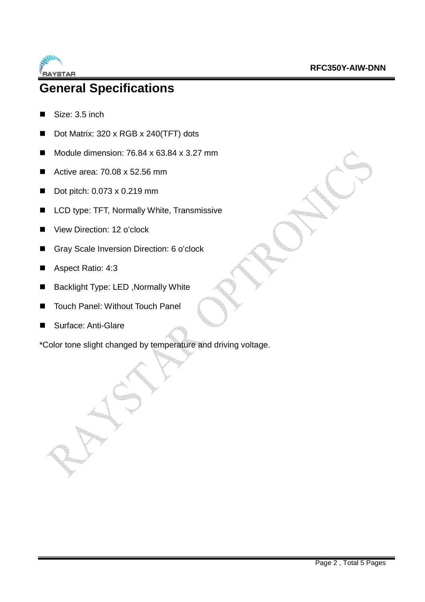

## **General Specifications**

- Size: 3.5 inch
- Dot Matrix: 320 x RGB x 240(TFT) dots
- Module dimension:  $76.84 \times 63.84 \times 3.27$  mm
- Active area:  $70.08 \times 52.56 \text{ mm}$
- Dot pitch: 0.073 x 0.219 mm
- LCD type: TFT, Normally White, Transmissive
- View Direction: 12 o'clock
- Gray Scale Inversion Direction: 6 o'clock
- Aspect Ratio: 4:3
- Backlight Type: LED, Normally White
- Touch Panel: Without Touch Panel
- Surface: Anti-Glare

\*Color tone slight changed by temperature and driving voltage.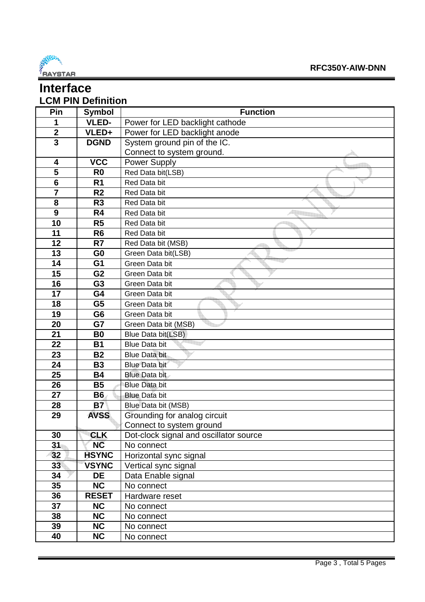

### **Interface LCM PIN Definition**

| Pin                     | <b>Symbol</b>   | <b>Function</b>                        |
|-------------------------|-----------------|----------------------------------------|
| 1                       | <b>VLED-</b>    | Power for LED backlight cathode        |
| $\mathbf 2$             | VLED+           | Power for LED backlight anode          |
| $\overline{\mathbf{3}}$ | <b>DGND</b>     | System ground pin of the IC.           |
|                         |                 | Connect to system ground.              |
| 4                       | <b>VCC</b>      | Power Supply                           |
| $\overline{5}$          | R <sub>0</sub>  | Red Data bit(LSB)                      |
| $6\phantom{1}6$         | R <sub>1</sub>  | Red Data bit                           |
| $\overline{7}$          | R <sub>2</sub>  | Red Data bit                           |
| 8                       | R <sub>3</sub>  | Red Data bit                           |
| 9                       | R <sub>4</sub>  | Red Data bit                           |
| 10                      | R <sub>5</sub>  | Red Data bit                           |
| 11                      | R <sub>6</sub>  | Red Data bit                           |
| 12                      | R7              | Red Data bit (MSB)                     |
| 13                      | G <sub>0</sub>  | Green Data bit(LSB)                    |
| 14                      | G <sub>1</sub>  | Green Data bit                         |
| 15                      | G <sub>2</sub>  | Green Data bit                         |
| 16                      | G <sub>3</sub>  | Green Data bit                         |
| 17                      | G4              | Green Data bit                         |
| 18                      | G <sub>5</sub>  | Green Data bit                         |
| 19                      | G <sub>6</sub>  | Green Data bit                         |
| 20                      | G7              | Green Data bit (MSB)                   |
| 21                      | B <sub>0</sub>  | Blue Data bit(LSB)                     |
| 22                      | <b>B1</b>       | <b>Blue Data bit</b>                   |
| 23                      | <b>B2</b>       | <b>Blue Data bit</b>                   |
| 24                      | <b>B3</b>       | <b>Blue Data bit</b>                   |
| 25                      | <b>B4</b>       | <b>Blue Data bit</b>                   |
| 26                      | <b>B5</b>       | <b>Blue Data bit</b>                   |
| 27                      | <b>B6</b>       | <b>Blue Data bit</b>                   |
| 28                      | $B\overline{7}$ | Blue Data bit (MSB)                    |
| 29                      | <b>AVSS</b>     | Grounding for analog circuit           |
|                         |                 | Connect to system ground               |
| 30                      | <b>CLK</b>      | Dot-clock signal and oscillator source |
| 31                      | <b>NC</b>       | No connect                             |
| 32                      | <b>HSYNC</b>    | Horizontal sync signal                 |
| 33 <sub>°</sub>         | <b>VSYNC</b>    | Vertical sync signal                   |
| 34                      | <b>DE</b>       | Data Enable signal                     |
| 35                      | <b>NC</b>       | No connect                             |
| 36                      | <b>RESET</b>    | Hardware reset                         |
| 37                      | <b>NC</b>       | No connect                             |
| 38                      | <b>NC</b>       | No connect                             |
| 39                      | <b>NC</b>       | No connect                             |
| 40                      | NC              | No connect                             |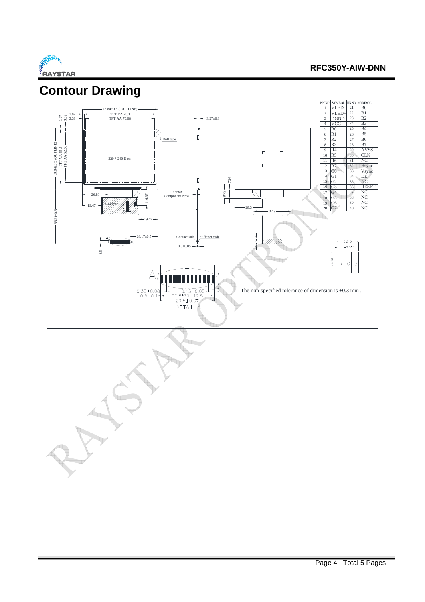

## **Contour Drawing**